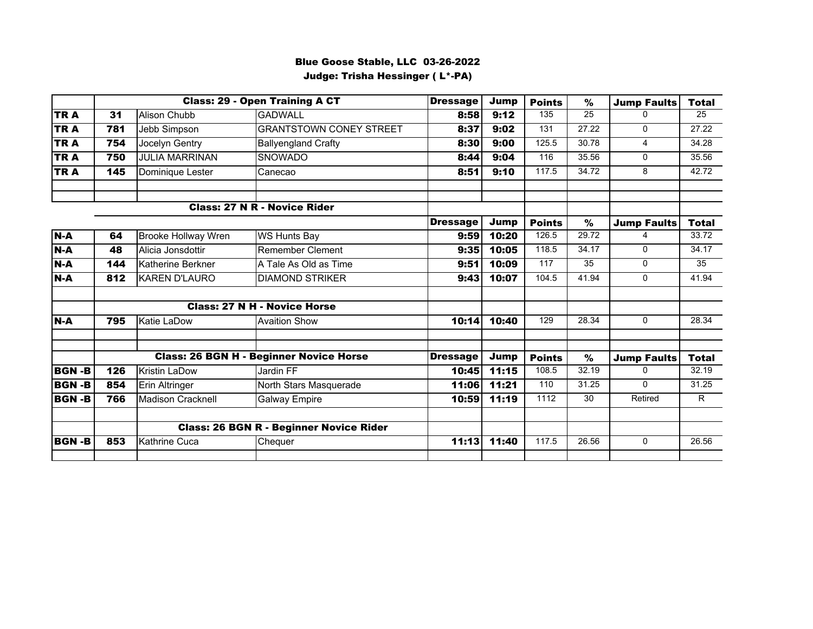## Blue Goose Stable, LLC 03-26-2022 Judge: Trisha Hessinger ( L\*-PA)

|              |     |                            | <b>Class: 29 - Open Training A CT</b>          | <b>Dressage</b> | Jump  | <b>Points</b> | $\frac{9}{6}$   | <b>Jump Faults</b> | <b>Total</b> |
|--------------|-----|----------------------------|------------------------------------------------|-----------------|-------|---------------|-----------------|--------------------|--------------|
| TR A         | 31  | <b>Alison Chubb</b>        | <b>GADWALL</b>                                 | 8:58            | 9:12  | 135           | $\overline{25}$ | $\Omega$           | 25           |
| <b>TRA</b>   | 781 | Jebb Simpson               | <b>GRANTSTOWN CONEY STREET</b>                 | 8:37            | 9:02  | 131           | 27.22           | $\mathbf 0$        | 27.22        |
| <b>TRA</b>   | 754 | Jocelyn Gentry             | <b>Ballyengland Crafty</b>                     | 8:30            | 9:00  | 125.5         | 30.78           | $\overline{4}$     | 34.28        |
| TRA          | 750 | <b>JULIA MARRINAN</b>      | SNOWADO                                        | 8:44            | 9:04  | 116           | 35.56           | $\Omega$           | 35.56        |
| <b>TRA</b>   | 145 | Dominique Lester           | Canecao                                        | 8:51            | 9:10  | 117.5         | 34.72           | 8                  | 42.72        |
|              |     |                            | <b>Class: 27 N R - Novice Rider</b>            |                 |       |               |                 |                    |              |
|              |     |                            |                                                | <b>Dressage</b> | Jump  | <b>Points</b> | $\%$            | <b>Jump Faults</b> | <b>Total</b> |
| $N-A$        | 64  | <b>Brooke Hollway Wren</b> | <b>WS Hunts Bay</b>                            | 9:59            | 10:20 | 126.5         | 29.72           |                    | 33.72        |
| $N-A$        | 48  | Alicia Jonsdottir          | <b>Remember Clement</b>                        | 9:35            | 10:05 | 118.5         | 34.17           | $\Omega$           | 34.17        |
| $N-A$        | 144 | Katherine Berkner          | A Tale As Old as Time                          | 9:51            | 10:09 | 117           | 35              | $\Omega$           | 35           |
| $N-A$        | 812 | <b>KAREN D'LAURO</b>       | <b>DIAMOND STRIKER</b>                         | 9:43            | 10:07 | 104.5         | 41.94           | $\mathbf{0}$       | 41.94        |
|              |     |                            | <b>Class: 27 N H - Novice Horse</b>            |                 |       |               |                 |                    |              |
| $N-A$        | 795 | Katie LaDow                | <b>Avaition Show</b>                           | 10:14           | 10:40 | 129           | 28.34           | $\Omega$           | 28.34        |
|              |     |                            | <b>Class: 26 BGN H - Beginner Novice Horse</b> | <b>Dressage</b> | Jump  | <b>Points</b> | $\%$            | <b>Jump Faults</b> | <b>Total</b> |
| <b>BGN-B</b> | 126 | <b>Kristin LaDow</b>       | Jardin FF                                      | 10:45           | 11:15 | 108.5         | 32.19           | $\Omega$           | 32.19        |
| <b>BGN-B</b> | 854 | Erin Altringer             | North Stars Masquerade                         | 11:06           | 11:21 | 110           | 31.25           | $\Omega$           | 31.25        |
| <b>BGN-B</b> | 766 | Madison Cracknell          | <b>Galway Empire</b>                           | 10:59           | 11:19 | 1112          | 30              | Retired            | R.           |
|              |     |                            | <b>Class: 26 BGN R - Beginner Novice Rider</b> |                 |       |               |                 |                    |              |
| <b>BGN-B</b> | 853 | Kathrine Cuca              | Chequer                                        | 11:13           | 11:40 | 117.5         | 26.56           | $\Omega$           | 26.56        |
|              |     |                            |                                                |                 |       |               |                 |                    |              |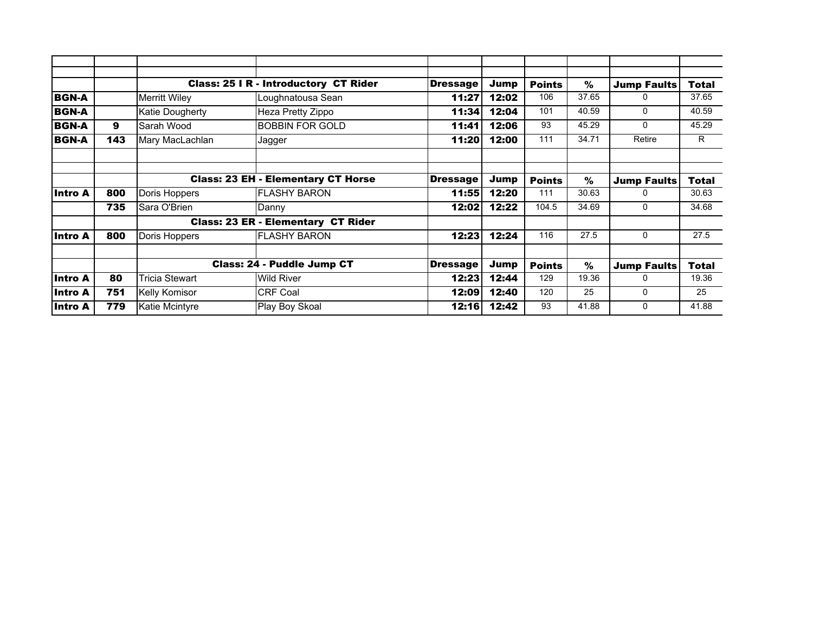|                |     |                       | <b>Class: 25 I R - Introductory CT Rider</b> | <b>Dressage</b> | Jump  | <b>Points</b> | $\%$  | <b>Jump Faults</b> | <b>Total</b> |
|----------------|-----|-----------------------|----------------------------------------------|-----------------|-------|---------------|-------|--------------------|--------------|
| <b>BGN-A</b>   |     | Merritt Wiley         | Loughnatousa Sean                            | 11:27           | 12:02 | 106           | 37.65 | 0                  | 37.65        |
| <b>BGN-A</b>   |     | Katie Dougherty       | Heza Pretty Zippo                            | 11:34           | 12:04 | 101           | 40.59 | $\mathbf{0}$       | 40.59        |
| <b>BGN-A</b>   | 9   | Sarah Wood            | <b>BOBBIN FOR GOLD</b>                       | 11:41           | 12:06 | 93            | 45.29 | $\Omega$           | 45.29        |
| <b>BGN-A</b>   | 143 | Mary MacLachlan       | Jagger                                       | 11:20           | 12:00 | 111           | 34.71 | Retire             | R.           |
|                |     |                       |                                              |                 |       |               |       |                    |              |
|                |     |                       | <b>Class: 23 EH - Elementary CT Horse</b>    | <b>Dressage</b> | Jump  | <b>Points</b> | %     | <b>Jump Faults</b> | <b>Total</b> |
| lIntro A       | 800 | Doris Hoppers         | <b>FLASHY BARON</b>                          | 11:55           | 12:20 | 111           | 30.63 | 0                  | 30.63        |
|                | 735 | Sara O'Brien          | Danny                                        | 12:02           | 12:22 | 104.5         | 34.69 | $\mathbf{0}$       | 34.68        |
|                |     |                       | <b>Class: 23 ER - Elementary CT Rider</b>    |                 |       |               |       |                    |              |
| lIntro A       | 800 | Doris Hoppers         | <b>FLASHY BARON</b>                          | 12:23           | 12:24 | 116           | 27.5  | $\mathbf{0}$       | 27.5         |
|                |     |                       | <b>Class: 24 - Puddle Jump CT</b>            | <b>Dressage</b> | Jump  | <b>Points</b> | %     | <b>Jump Faults</b> | <b>Total</b> |
| <b>Intro A</b> | 80  | <b>Tricia Stewart</b> | <b>Wild River</b>                            | 12:23           | 12:44 | 129           | 19.36 | 0                  | 19.36        |
| Intro A        | 751 | <b>Kelly Komisor</b>  | <b>CRF Coal</b>                              | 12:09           | 12:40 | 120           | 25    | $\mathbf{0}$       | 25           |
| Intro A        | 779 | Katie Mcintyre        | Play Boy Skoal                               | 12:16           | 12:42 | 93            | 41.88 | 0                  | 41.88        |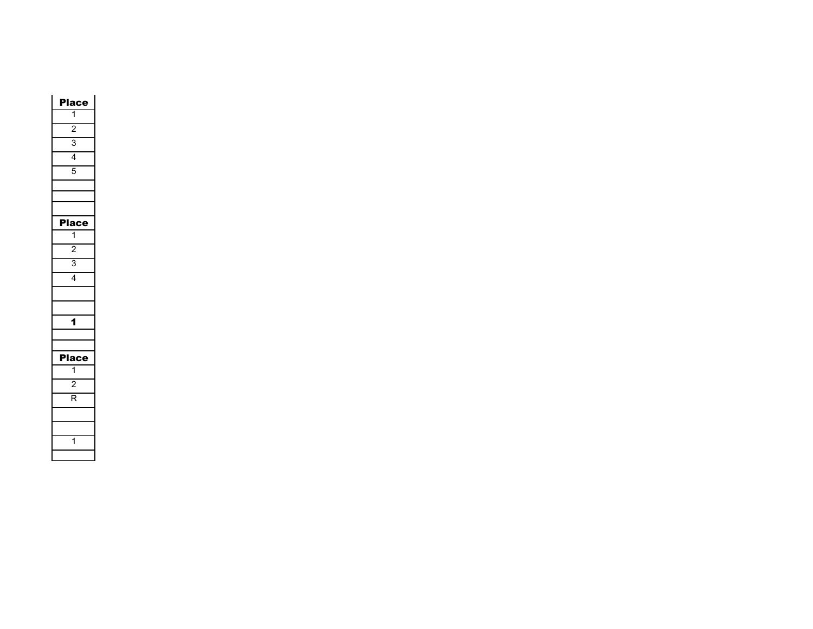| C              |
|----------------|
| $\overline{1}$ |
| $\overline{c}$ |
| $\overline{3}$ |
| $\overline{4}$ |
| $\overline{5}$ |
|                |
|                |
|                |
| Place          |
| $\overline{1}$ |
| $\overline{2}$ |
| $\overline{3}$ |
| $\overline{4}$ |
|                |
|                |
| 1              |
|                |
|                |
| I<br>la        |
| $\overline{1}$ |
| $\overline{2}$ |
| R              |
|                |
|                |
| 1              |
|                |